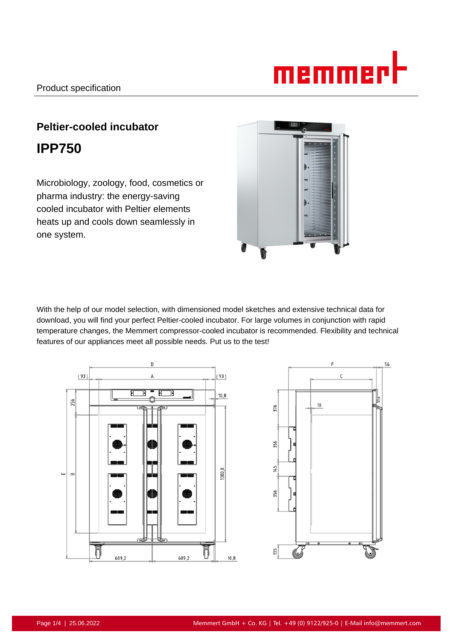# <u>memmer</u>l

# **Peltier-cooled incubator IPP750**

Microbiology, zoology, food, cosmetics or pharma industry: the energy-saving cooled incubator with Peltier elements heats up and cools down seamlessly in one system.



With the help of our model selection, with dimensioned model sketches and extensive technical data for download, you will find your perfect Peltier-cooled incubator. For large volumes in conjunction with rapid temperature changes, the Memmert compressor-cooled incubator is recommended. Flexibility and technical features of our appliances meet all possible needs. Put us to the test!



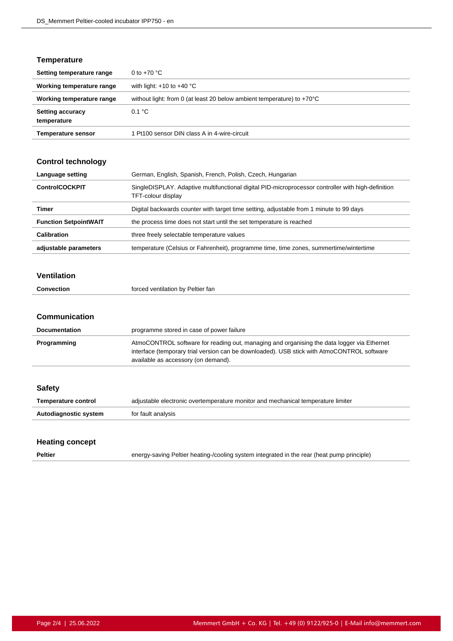# **Temperature**

| Setting temperature range              | 0 to $+70$ °C                                                                    |
|----------------------------------------|----------------------------------------------------------------------------------|
| Working temperature range              | with light: $+10$ to $+40$ °C                                                    |
| Working temperature range              | without light: from 0 (at least 20 below ambient temperature) to $+70^{\circ}$ C |
| <b>Setting accuracy</b><br>temperature | 0.1 °C                                                                           |
| <b>Temperature sensor</b>              | 1 Pt100 sensor DIN class A in 4-wire-circuit                                     |

#### **Control technology**

| Language setting             | German, English, Spanish, French, Polish, Czech, Hungarian                                                               |
|------------------------------|--------------------------------------------------------------------------------------------------------------------------|
| <b>ControlCOCKPIT</b>        | SingleDISPLAY. Adaptive multifunctional digital PID-microprocessor controller with high-definition<br>TFT-colour display |
| Timer                        | Digital backwards counter with target time setting, adjustable from 1 minute to 99 days                                  |
| <b>Function SetpointWAIT</b> | the process time does not start until the set temperature is reached                                                     |
| Calibration                  | three freely selectable temperature values                                                                               |
| adjustable parameters        | temperature (Celsius or Fahrenheit), programme time, time zones, summertime/wintertime                                   |

#### **Ventilation**

| <b>Convection</b> | forced ventilation by Peltier fan |
|-------------------|-----------------------------------|
|                   |                                   |

#### **Communication**

| <b>Documentation</b> | programme stored in case of power failure                                                                                                                                                                                       |
|----------------------|---------------------------------------------------------------------------------------------------------------------------------------------------------------------------------------------------------------------------------|
| Programming          | AtmoCONTROL software for reading out, managing and organising the data logger via Ethernet<br>interface (temporary trial version can be downloaded). USB stick with AtmoCONTROL software<br>available as accessory (on demand). |

| <b>Safety</b>         |                                                                                  |
|-----------------------|----------------------------------------------------------------------------------|
| Temperature control   | adjustable electronic overtemperature monitor and mechanical temperature limiter |
| Autodiagnostic system | for fault analysis                                                               |
|                       |                                                                                  |

# **Heating concept**

**Peltier** energy-saving Peltier heating-/cooling system integrated in the rear (heat pump principle)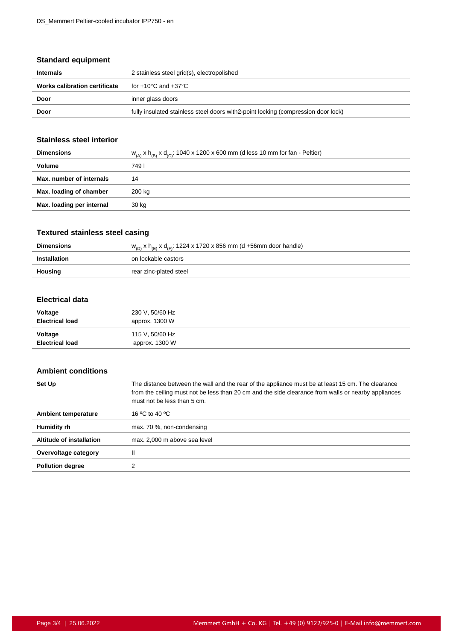# **Standard equipment**

| Internals                     | 2 stainless steel grid(s), electropolished                                         |
|-------------------------------|------------------------------------------------------------------------------------|
| Works calibration certificate | for +10°C and +37°C                                                                |
| Door                          | inner glass doors                                                                  |
| Door                          | fully insulated stainless steel doors with 2-point locking (compression door lock) |

#### **Stainless steel interior**

| <b>Dimensions</b>         | $W_{(A)}$ x $h_{(B)}$ x $d_{(C)}$ : 1040 x 1200 x 600 mm (d less 10 mm for fan - Peltier) |
|---------------------------|-------------------------------------------------------------------------------------------|
| Volume                    | 749 I                                                                                     |
| Max. number of internals  | 14                                                                                        |
| Max. loading of chamber   | 200 kg                                                                                    |
| Max. loading per internal | 30 kg                                                                                     |
|                           |                                                                                           |

# **Textured stainless steel casing**

| <b>Dimensions</b> | $w_{(D)}$ x h <sub>(F)</sub> x d <sub>(F)</sub> : 1224 x 1720 x 856 mm (d +56mm door handle) |
|-------------------|----------------------------------------------------------------------------------------------|
| Installation      | on lockable castors                                                                          |
| Housing           | rear zinc-plated steel                                                                       |

#### **Electrical data**

| Voltage                | 230 V, 50/60 Hz |
|------------------------|-----------------|
| <b>Electrical load</b> | approx. 1300 W  |
| Voltage                | 115 V, 50/60 Hz |
| <b>Electrical load</b> | approx. 1300 W  |

#### **Ambient conditions**

| Set Up                     | The distance between the wall and the rear of the appliance must be at least 15 cm. The clearance<br>from the ceiling must not be less than 20 cm and the side clearance from walls or nearby appliances<br>must not be less than 5 cm. |
|----------------------------|-----------------------------------------------------------------------------------------------------------------------------------------------------------------------------------------------------------------------------------------|
| <b>Ambient temperature</b> | 16 °C to 40 °C                                                                                                                                                                                                                          |
| Humidity rh                | max. 70 %, non-condensing                                                                                                                                                                                                               |
| Altitude of installation   | max. 2,000 m above sea level                                                                                                                                                                                                            |
| Overvoltage category       | Ш                                                                                                                                                                                                                                       |
| <b>Pollution degree</b>    |                                                                                                                                                                                                                                         |